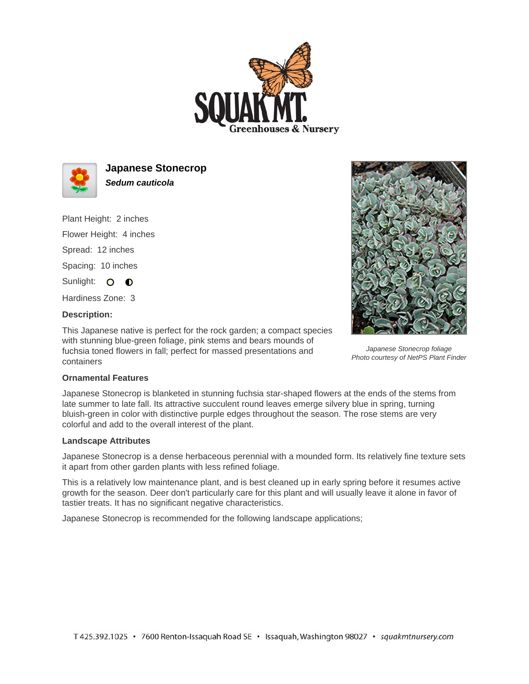



**Japanese Stonecrop Sedum cauticola**

Plant Height: 2 inches

Flower Height: 4 inches

Spread: 12 inches

Spacing: 10 inches

Sunlight: O O

Hardiness Zone: 3

## **Description:**

This Japanese native is perfect for the rock garden; a compact species with stunning blue-green foliage, pink stems and bears mounds of fuchsia toned flowers in fall; perfect for massed presentations and containers



Japanese Stonecrop foliage Photo courtesy of NetPS Plant Finder

## **Ornamental Features**

Japanese Stonecrop is blanketed in stunning fuchsia star-shaped flowers at the ends of the stems from late summer to late fall. Its attractive succulent round leaves emerge silvery blue in spring, turning bluish-green in color with distinctive purple edges throughout the season. The rose stems are very colorful and add to the overall interest of the plant.

## **Landscape Attributes**

Japanese Stonecrop is a dense herbaceous perennial with a mounded form. Its relatively fine texture sets it apart from other garden plants with less refined foliage.

This is a relatively low maintenance plant, and is best cleaned up in early spring before it resumes active growth for the season. Deer don't particularly care for this plant and will usually leave it alone in favor of tastier treats. It has no significant negative characteristics.

Japanese Stonecrop is recommended for the following landscape applications;